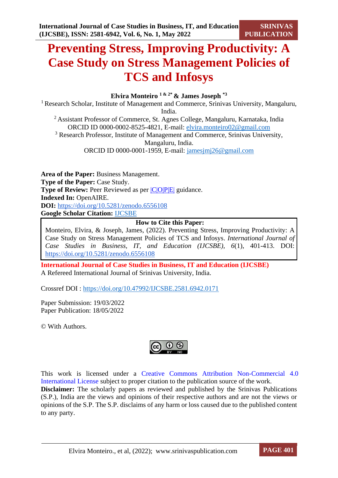# **Preventing Stress, Improving Productivity: A Case Study on Stress Management Policies of TCS and Infosys**

## **Elvira Monteiro 1 & 2\* & James Joseph \*3**

<sup>1</sup> Research Scholar, Institute of Management and Commerce, Srinivas University, Mangaluru, India.

<sup>2</sup>Assistant Professor of Commerce, St. Agnes College, Mangaluru, Karnataka, India ORCID ID 0000-0002-8525-4821, E-mail: [elvira.monteiro02@gmail.com](mailto:elvira.monteiro02@gmail.com) <sup>3</sup> Research Professor, Institute of Management and Commerce, Srinivas University, Mangaluru, India.

ORCID ID 0000-0001-1959, E-mail: [jamesjmj26@gmail.com](mailto:jamesjmj26@gmail.com)

**Area of the Paper:** Business Management. **Type of the Paper:** Case Study. **Type of Review:** Peer Reviewed as per  $|C|$ O|P|E| guidance. **Indexed In:** OpenAIRE. **DOI:** <https://doi.org/10.5281/zenodo.6556108> **Google Scholar Citation:** [IJCSBE](https://scholar.google.com/citations?user=yGYPA1MAAAAJ)

## **How to Cite this Paper:**

Monteiro, Elvira, & Joseph, James, (2022). Preventing Stress, Improving Productivity: A Case Study on Stress Management Policies of TCS and Infosys. *International Journal of Case Studies in Business, IT, and Education (IJCSBE), 6*(1), 401-413. DOI: <https://doi.org/10.5281/zenodo.6556108>

**International Journal of Case Studies in Business, IT and Education (IJCSBE)** A Refereed International Journal of Srinivas University, India.

Crossref DOI : [https://doi.org/10.47992/IJCSBE.2581.6942.0171](https://search.crossref.org/?q=10.47992%2FIJCSBE.2581.6942.0171&from_ui=yes)

Paper Submission: 19/03/2022 Paper Publication: 18/05/2022

© With Authors.



This work is licensed under a Creative Commons Attribution Non-Commercial 4.0 International License subject to proper citation to the publication source of the work. **Disclaimer:** The scholarly papers as reviewed and published by the Srinivas Publications (S.P.), India are the views and opinions of their respective authors and are not the views or opinions of the S.P. The S.P. disclaims of any harm or loss caused due to the published content to any party.

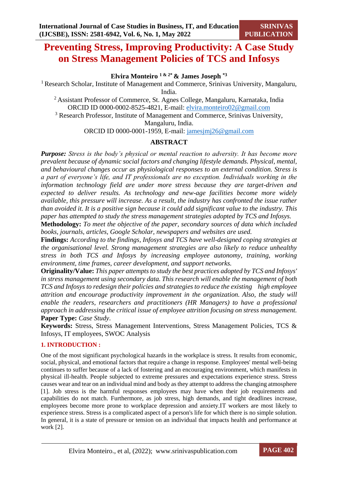## **Preventing Stress, Improving Productivity: A Case Study on Stress Management Policies of TCS and Infosys**

## **Elvira Monteiro 1 & 2\* & James Joseph \*3**

<sup>1</sup> Research Scholar, Institute of Management and Commerce, Srinivas University, Mangaluru, India.

<sup>2</sup> Assistant Professor of Commerce, St. Agnes College, Mangaluru, Karnataka, India ORCID ID 0000-0002-8525-4821, E-mail: [elvira.monteiro02@gmail.com](mailto:elvira.monteiro02@gmail.com) <sup>3</sup> Research Professor, Institute of Management and Commerce, Srinivas University,

Mangaluru, India.

ORCID ID 0000-0001-1959, E-mail: [jamesjmj26@gmail.com](mailto:jamesjmj26@gmail.com)

## **ABSTRACT**

*Purpose: Stress is the body's physical or mental reaction to adversity. It has become more prevalent because of dynamic social factors and changing lifestyle demands. Physical, mental, and behavioural changes occur as physiological responses to an external condition. Stress is a part of everyone's life, and IT professionals are no exception. Individuals working in the information technology field are under more stress because they are target-driven and expected to deliver results. As technology and new-age facilities become more widely available, this pressure will increase. As a result, the industry has confronted the issue rather than avoided it. It is a positive sign because it could add significant value to the industry. This paper has attempted to study the stress management strategies adopted by TCS and Infosys.*

**Methodology:** *To meet the objective of the paper, secondary sources of data which included books, journals, articles, Google Scholar, newspapers and websites are used.*

**Findings:** *According to the findings, Infosys and TCS have well-designed coping strategies at the organisational level. Strong management strategies are also likely to reduce unhealthy stress in both TCS and Infosys by increasing employee autonomy, training, working environment, time frames, career development, and support networks.*

**Originality/Value:** *This paper attempts to study the best practices adopted by TCS and Infosys' in stress management using secondary data. This research will enable the management of both TCS and Infosys to redesign their policies and strategies to reduce the existing high employee attrition and encourage productivity improvement in the organization. Also, the study will enable the readers, researchers and practitioners (HR Managers) to have a professional approach in addressing the critical issue of employee attrition focusing on stress management.* **Paper Type:** *Case Study*.

**Keywords:** Stress, Stress Management Interventions, Stress Management Policies, TCS & Infosys, IT employees, SWOC Analysis

#### **1. INTRODUCTION :**

One of the most significant psychological hazards in the workplace is stress. It results from economic, social, physical, and emotional factors that require a change in response. Employees' mental well-being continues to suffer because of a lack of fostering and an encouraging environment, which manifests in physical ill-health. People subjected to extreme pressures and expectations experience stress. Stress causes wear and tear on an individual mind and body as they attempt to address the changing atmosphere [1]. Job stress is the harmful responses employees may have when their job requirements and capabilities do not match. Furthermore, as job stress, high demands, and tight deadlines increase, employees become more prone to workplace depression and anxiety.IT workers are most likely to experience stress. Stress is a complicated aspect of a person's life for which there is no simple solution. In general, it is a state of pressure or tension on an individual that impacts health and performance at work [2].

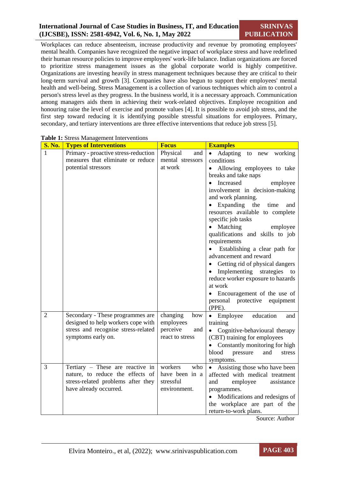#### **International Journal of Case Studies in Business, IT, and Education (IJCSBE), ISSN: 2581-6942, Vol. 6, No. 1, May 2022 SRINIVAS PUBLICATION**

Workplaces can reduce absenteeism, increase productivity and revenue by promoting employees' mental health. Companies have recognized the negative impact of workplace stress and have redefined their human resource policies to improve employees' work-life balance. Indian organizations are forced to prioritize stress management issues as the global corporate world is highly competitive. Organizations are investing heavily in stress management techniques because they are critical to their long-term survival and growth [3]. Companies have also begun to support their employees' mental health and well-being. Stress Management is a collection of various techniques which aim to control a person's stress level as they progress. In the business world, it is a necessary approach. Communication among managers aids them in achieving their work-related objectives. Employee recognition and honouring raise the level of exercise and promote values [4]. It is possible to avoid job stress, and the first step toward reducing it is identifying possible stressful situations for employees. Primary, secondary, and tertiary interventions are three effective interventions that reduce job stress [5].

| <b>S. No.</b>  | <b>Types of Interventions</b>                                                                                                        | <b>Focus</b>                                                       | <b>Examples</b>                                                                                                                                                                                                                                                                                                                                                                                                                                                                                                                                                                                                                 |
|----------------|--------------------------------------------------------------------------------------------------------------------------------------|--------------------------------------------------------------------|---------------------------------------------------------------------------------------------------------------------------------------------------------------------------------------------------------------------------------------------------------------------------------------------------------------------------------------------------------------------------------------------------------------------------------------------------------------------------------------------------------------------------------------------------------------------------------------------------------------------------------|
| 1              | Primary - proactive stress-reduction<br>measures that eliminate or reduce<br>potential stressors                                     | Physical<br>and<br>mental stressors<br>at work                     | • Adapting to new working<br>conditions<br>• Allowing employees to take<br>breaks and take naps<br>• Increased<br>employee<br>involvement in decision-making<br>and work planning.<br>$\bullet$ Expanding<br>the<br>time<br>and<br>resources available to complete<br>specific job tasks<br>• Matching<br>employee<br>qualifications and skills to job<br>requirements<br>Establishing a clear path for<br>advancement and reward<br>Getting rid of physical dangers<br>• Implementing strategies<br>to<br>reduce worker exposure to hazards<br>at work<br>• Encouragement of the use of<br>protective<br>personal<br>equipment |
| $\overline{2}$ | Secondary - These programmes are<br>designed to help workers cope with<br>stress and recognise stress-related<br>symptoms early on.  | changing<br>how<br>employees<br>perceive<br>and<br>react to stress | (PPE).<br>$\bullet$ Employee<br>education<br>and<br>training<br>• Cognitive-behavioural therapy<br>(CBT) training for employees<br>• Constantly monitoring for high<br>blood<br>pressure<br>and<br>stress<br>symptoms.                                                                                                                                                                                                                                                                                                                                                                                                          |
| 3              | Tertiary - These are reactive in<br>nature, to reduce the effects of<br>stress-related problems after they<br>have already occurred. | workers<br>who<br>have been in a<br>stressful<br>environment.      | • Assisting those who have been<br>affected with medical treatment<br>employee<br>assistance<br>and<br>programmes.<br>• Modifications and redesigns of<br>the workplace are part of the<br>return-to-work plans.<br>$S_{\text{out}}$ $\Lambda$ wthou                                                                                                                                                                                                                                                                                                                                                                            |

**Table 1:** Stress Management Interventions

Source: Author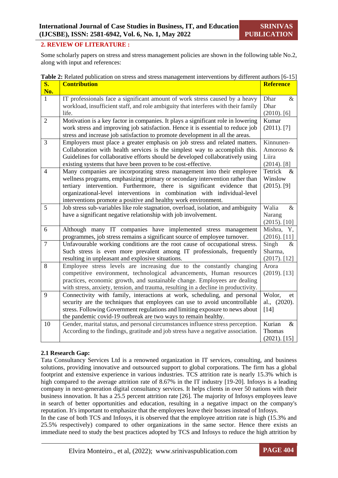#### **2. REVIEW OF LITERATURE :**

Some scholarly papers on stress and stress management policies are shown in the following table No.2, along with input and references:

|  | <b>Table 2:</b> Related publication on stress and stress management interventions by different authors [6-15] |  |
|--|---------------------------------------------------------------------------------------------------------------|--|

| S.             | <b>Contribution</b>                                                                         | <b>Reference</b>        |
|----------------|---------------------------------------------------------------------------------------------|-------------------------|
| No.            |                                                                                             |                         |
| $\mathbf{1}$   | IT professionals face a significant amount of work stress caused by a heavy                 | Dhar<br>$\&$            |
|                | workload, insufficient staff, and role ambiguity that interferes with their family<br>life. | Dhar                    |
| $\overline{2}$ | Motivation is a key factor in companies. It plays a significant role in lowering            | $(2010)$ . [6]<br>Kumar |
|                | work stress and improving job satisfaction. Hence it is essential to reduce job             | $(2011)$ . [7]          |
|                | stress and increase job satisfaction to promote development in all the areas.               |                         |
| $\overline{3}$ | Employers must place a greater emphasis on job stress and related matters.                  | Kinnunen-               |
|                | Collaboration with health services is the simplest way to accomplish this.                  | Amoroso &               |
|                | Guidelines for collaborative efforts should be developed collaboratively using              | Liira                   |
|                | existing systems that have been proven to be cost-effective.                                | $(2014)$ . [8]          |
| $\overline{4}$ | Many companies are incorporating stress management into their employee                      | Tetrick<br>$\&$         |
|                | wellness programs, emphasizing primary or secondary intervention rather than                | Winslow                 |
|                | tertiary intervention. Furthermore, there is significant evidence that                      | $(2015)$ . [9]          |
|                | organizational-level interventions in combination with individual-level                     |                         |
|                | interventions promote a positive and healthy work environment.                              |                         |
| 5              | Job stress sub-variables like role stagnation, overload, isolation, and ambiguity           | Walia<br>$\&$           |
|                | have a significant negative relationship with job involvement.                              | Narang                  |
|                |                                                                                             | $(2015)$ . [10]         |
| 6              | Although many IT companies have implemented stress management                               | Mishra, Y,              |
|                | programmes, job stress remains a significant source of employee turnover.                   | $(2016)$ . [11]         |
| $\overline{7}$ | Unfavourable working conditions are the root cause of occupational stress.                  | Singh<br>$\&$           |
|                | Such stress is even more prevalent among IT professionals, frequently                       | Sharma,                 |
|                | resulting in unpleasant and explosive situations.                                           | $(2017)$ . [12]         |
| 8              | Employee stress levels are increasing due to the constantly changing                        | Arora                   |
|                | competitive environment, technological advancements, Human resources                        | $(2019)$ . [13]         |
|                | practices, economic growth, and sustainable change. Employees are dealing                   |                         |
|                | with stress, anxiety, tension, and trauma, resulting in a decline in productivity.          |                         |
| 9              | Connectivity with family, interactions at work, scheduling, and personal                    | Wolor,<br>et            |
|                | security are the techniques that employees can use to avoid uncontrollable                  | al., (2020).            |
|                | stress. Following Government regulations and limiting exposure to news about                | $[14]$                  |
|                | the pandemic covid-19 outbreak are two ways to remain healthy.                              |                         |
| 10             | Gender, marital status, and personal circumstances influence stress perception.             | Kurian<br>$\&$          |
|                | According to the findings, gratitude and job stress have a negative association.            | Thomas                  |
|                |                                                                                             | $(2021)$ . [15]         |

#### **2.1 Research Gap:**

Tata Consultancy Services Ltd is a renowned organization in IT services, consulting, and business solutions, providing innovative and outsourced support to global corporations. The firm has a global footprint and extensive experience in various industries. TCS attrition rate is nearly 15.3% which is high compared to the average attrition rate of 8.67% in the IT industry [19-20]. Infosys is a leading company in next-generation digital consultancy services. It helps clients in over 50 nations with their business innovation. It has a 25.5 percent attrition rate [26]. The majority of Infosys employees leave in search of better opportunities and education, resulting in a negative impact on the company's reputation. It's important to emphasize that the employees leave their bosses instead of Infosys.

In the case of both TCS and Infosys, it is observed that the employee attrition rate is high (15.3% and 25.5% respectively) compared to other organizations in the same sector. Hence there exists an immediate need to study the best practices adopted by TCS and Infosys to reduce the high attrition by

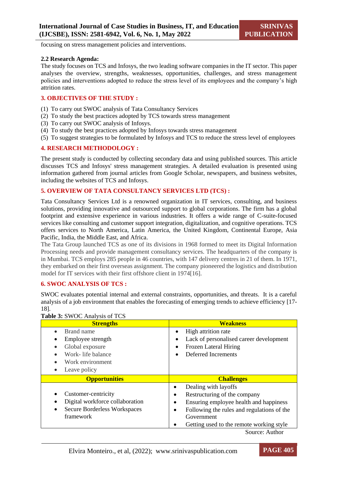focusing on stress management policies and interventions.

#### **2.2 Research Agenda:**

The study focuses on TCS and Infosys, the two leading software companies in the IT sector. This paper analyses the overview, strengths, weaknesses, opportunities, challenges, and stress management policies and interventions adopted to reduce the stress level of its employees and the company's high attrition rates.

#### **3. OBJECTIVES OF THE STUDY :**

- (1) To carry out SWOC analysis of Tata Consultancy Services
- (2) To study the best practices adopted by TCS towards stress management
- (3) To carry out SWOC analysis of Infosys.
- (4) To study the best practices adopted by Infosys towards stress management
- (5) To suggest strategies to be formulated by Infosys and TCS to reduce the stress level of employees

#### **4. RESEARCH METHODOLOGY :**

The present study is conducted by collecting secondary data and using published sources. This article discusses TCS and Infosys' stress management strategies. A detailed evaluation is presented using information gathered from journal articles from Google Scholar, newspapers, and business websites, including the websites of TCS and Infosys.

#### **5. OVERVIEW OF TATA CONSULTANCY SERVICES LTD (TCS) :**

Tata Consultancy Services Ltd is a renowned organization in IT services, consulting, and business solutions, providing innovative and outsourced support to global corporations. The firm has a global footprint and extensive experience in various industries. It offers a wide range of C-suite-focused services like consulting and customer support integration, digitalization, and cognitive operations. TCS offers services to North America, Latin America, the United Kingdom, Continental Europe, Asia Pacific, India, the Middle East, and Africa.

The Tata Group launched TCS as one of its divisions in 1968 formed to meet its Digital Information Processing needs and provide management consultancy services. The headquarters of the company is in Mumbai. TCS employs 285 people in 46 countries, with 147 delivery centres in 21 of them. In 1971, they embarked on their first overseas assignment. The company pioneered the logistics and distribution model for IT services with their first offshore client in 1974[16].

#### **6. SWOC ANALYSIS OF TCS :**

SWOC evaluates potential internal and external constraints, opportunities, and threats. It is a careful analysis of a job environment that enables the forecasting of emerging trends to achieve efficiency [17- 18].

| <b>Table 3.</b> SWOC Allalysis of TCS                                                                                                  |                                                                                                                                                                                                             |  |
|----------------------------------------------------------------------------------------------------------------------------------------|-------------------------------------------------------------------------------------------------------------------------------------------------------------------------------------------------------------|--|
| <b>Strengths</b>                                                                                                                       | <b>Weakness</b>                                                                                                                                                                                             |  |
| Brand name<br>$\bullet$<br>Employee strength<br>Global exposure<br>Work- life balance<br>Work environment<br>Leave policy<br>$\bullet$ | High attrition rate<br>٠<br>Lack of personalised career development<br>٠<br>Frozen Lateral Hiring<br>Deferred Increments                                                                                    |  |
|                                                                                                                                        |                                                                                                                                                                                                             |  |
| <b>Opportunities</b>                                                                                                                   | <b>Challenges</b>                                                                                                                                                                                           |  |
| Customer-centricity<br>Digital workforce collaboration<br><b>Secure Borderless Workspaces</b><br>framework                             | Dealing with layoffs<br>٠<br>Restructuring of the company<br>Ensuring employee health and happiness<br>Following the rules and regulations of the<br>Government<br>Getting used to the remote working style |  |

## **Table 3:** SWOC Analysis of TCS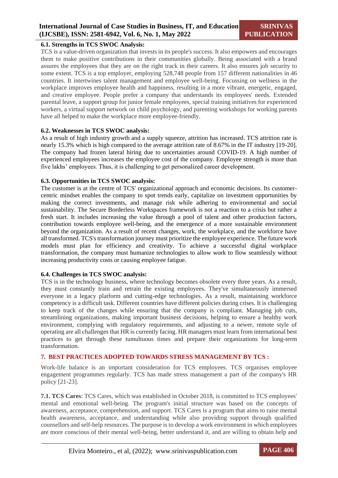#### **6.1. Strengths in TCS SWOC Analysis:**

TCS is a value-driven organization that invests in its people's success. It also empowers and encourages them to make positive contributions in their communities globally. Being associated with a brand assures the employees that they are on the right track in their careers. It also ensures job security to some extent. TCS is a top employer, employing 528,748 people from 157 different nationalities in 46 countries. It intertwines talent management and employee well-being. Focussing on wellness in the workplace improves employee health and happiness, resulting in a more vibrant, energetic, engaged, and creative employee. People prefer a company that understands its employees' needs. Extended parental leave, a support group for junior female employees, special training initiatives for experienced workers, a virtual support network on child psychology, and parenting workshops for working parents have all helped to make the workplace more employee-friendly.

#### **6.2. Weaknesses in TCS SWOC analysis:**

As a result of high industry growth and a supply squeeze, attrition has increased. TCS attrition rate is nearly 15.3% which is high compared to the average attrition rate of 8.67% in the IT industry [19-20]. The company had frozen lateral hiring due to uncertainties around COVID-19. A high number of experienced employees increases the employee cost of the company. Employee strength is more than five lakhs' employees. Thus, it is challenging to get personalized career development.

#### **6.3. Opportunities in TCS SWOC analysis:**

The customer is at the centre of TCS' organizational approach and economic decisions. Its customercentric mindset enables the company to spot trends early, capitalize on investment opportunities by making the correct investments, and manage risk while adhering to environmental and social sustainability. The Secure Borderless Workspaces framework is not a reaction to a crisis but rather a fresh start. It includes increasing the value through a pool of talent and other production factors, contribution towards employee well-being, and the emergence of a more sustainable environment beyond the organization. As a result of recent changes, work, the workplace, and the workforce have all transformed. TCS's transformation journey must prioritize the employee experience. The future work models must plan for efficiency and creativity. To achieve a successful digital workplace transformation, the company must humanize technologies to allow work to flow seamlessly without increasing productivity costs or causing employee fatigue.

#### **6.4. Challenges in TCS SWOC analysis:**

TCS is in the technology business, where technology becomes obsolete every three years. As a result, they must constantly train and retrain the existing employees. They've simultaneously immersed everyone in a legacy platform and cutting-edge technologies. As a result, maintaining workforce competency is a difficult task. Different countries have different policies during crises. It is challenging to keep track of the changes while ensuring that the company is compliant. Managing job cuts, streamlining organizations, making important business decisions, helping to ensure a healthy work environment, complying with regulatory requirements, and adjusting to a newer, remote style of operating are all challenges that HR is currently facing. HR managers must learn from international best practices to get through these tumultuous times and prepare their organizations for long-term transformation.

#### **7. BEST PRACTICES ADOPTED TOWARDS STRESS MANAGEMENT BY TCS :**

Work-life balance is an important consideration for TCS employees. TCS organises employee engagement programmes regularly. TCS has made stress management a part of the company's HR policy [21-23].

**7.1. TCS Cares**: TCS Cares, which was established in October 2018, is committed to TCS employees' mental and emotional well-being. The program's initial structure was based on the concepts of awareness, acceptance, comprehension, and support. TCS Cares is a program that aims to raise mental health awareness, acceptance, and understanding while also providing support through qualified counsellors and self-help resources. The purpose is to develop a work environment in which employees are more conscious of their mental well-being, better understand it, and are willing to obtain help and

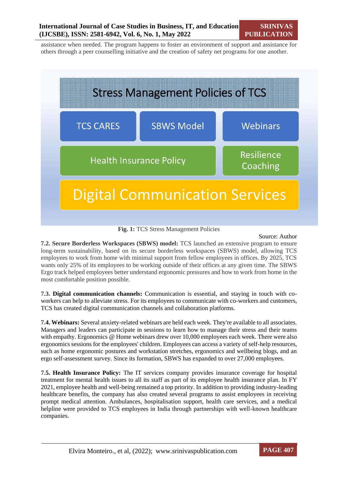assistance when needed. The program happens to foster an environment of support and assistance for others through a peer counselling initiative and the creation of safety net programs for one another.



**Fig. 1:** TCS Stress Management Policies

#### Source: Author

**7.2. Secure Borderless Workspaces (SBWS) model:** TCS launched an extensive program to ensure long-term sustainability, based on its secure borderless workspaces (SBWS) model, allowing TCS employees to work from home with minimal support from fellow employees in offices. By 2025, TCS wants only 25% of its employees to be working outside of their offices at any given time. The SBWS Ergo track helped employees better understand ergonomic pressures and how to work from home in the most comfortable position possible.

**7.3. Digital communication channels:** Communication is essential, and staying in touch with coworkers can help to alleviate stress. For its employees to communicate with co-workers and customers, TCS has created digital communication channels and collaboration platforms.

**7.4. Webinars:** Several anxiety-related webinars are held each week. They're available to all associates. Managers and leaders can participate in sessions to learn how to manage their stress and their teams with empathy. Ergonomics @ Home webinars drew over 10,000 employees each week. There were also ergonomics sessions for the employees' children. Employees can access a variety of self-help resources, such as home ergonomic postures and workstation stretches, ergonomics and wellbeing blogs, and an ergo self-assessment survey. Since its formation, SBWS has expanded to over 27,000 employees.

**7.5. Health Insurance Policy:** The IT services company provides insurance coverage for hospital treatment for mental health issues to all its staff as part of its employee health insurance plan. In FY 2021, employee health and well-being remained a top priority. In addition to providing industry-leading healthcare benefits, the company has also created several programs to assist employees in receiving prompt medical attention. Ambulances, hospitalisation support, health care services, and a medical helpline were provided to TCS employees in India through partnerships with well-known healthcare companies.

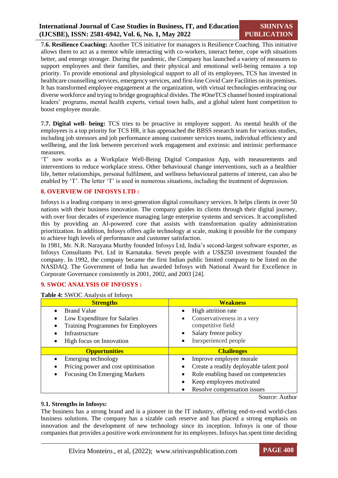**7.6. Resilience Coaching:** Another TCS initiative for managers is Resilience Coaching. This initiative allows them to act as a mentor while interacting with co-workers, interact better, cope with situations better, and emerge stronger. During the pandemic, the Company has launched a variety of measures to support employees and their families, and their physical and emotional well-being remains a top priority. To provide emotional and physiological support to all of its employees, TCS has invested in healthcare counselling services, emergency services, and first-line Covid Care Facilities on its premises. It has transformed employee engagement at the organization, with virtual technologies embracing our diverse workforce and trying to bridge geographical divides. The #OneTCS channel hosted inspirational leaders' programs, mental health experts, virtual town halls, and a global talent hunt competition to boost employee morale.

**7.7. Digital well- being:** TCS tries to be proactive in employee support. As mental health of the employees is a top priority for TCS HR, it has approached the BBSS research team for various studies, including job stressors and job performance among customer services teams, individual efficiency and wellbeing, and the link between perceived work engagement and extrinsic and intrinsic performance measures.

'T' now works as a Workplace Well-Being Digital Companion App, with measurements and interventions to reduce workplace stress. Other behavioural change interventions, such as a healthier life, better relationships, personal fulfilment, and wellness behavioural patterns of interest, can also be enabled by 'T'. The letter 'T' is used in numerous situations, including the treatment of depression.

### **8. OVERVIEW OF INFOSYS LTD :**

Infosys is a leading company in next-generation digital consultancy services. It helps clients in over 50 nations with their business innovation. The company guides its clients through their digital journey, with over four decades of experience managing large enterprise systems and services. It accomplished this by providing an AI-powered core that assists with transformation quality administration prioritization. In addition, Infosys offers agile technology at scale, making it possible for the company to achieve high levels of performance and customer satisfaction.

In 1981, Mr. N.R. Narayana Murthy founded Infosys Ltd, India's second-largest software exporter, as Infosys Consultants Pvt. Ltd in Karnataka. Seven people with a US\$250 investment founded the company. In 1992, the company became the first Indian public limited company to be listed on the NASDAQ. The Government of India has awarded Infosys with National Award for Excellence in Corporate Governance consistently in 2001, 2002, and 2003 [24].

#### **9. SWOC ANALYSIS OF INFOSYS :**

**Table 4:** SWOC Analysis of Infosys

| <b>Strengths</b>                          | <b>Weakness</b>                         |
|-------------------------------------------|-----------------------------------------|
| <b>Brand Value</b><br>$\bullet$           | High attrition rate                     |
| Low Expenditure for Salaries<br>$\bullet$ | Conservativeness in a very              |
| <b>Training Programmes for Employees</b>  | competitive field                       |
| Infrastructure                            | Salary freeze policy                    |
| High focus on Innovation                  | Inexperienced people                    |
| <b>Opportunities</b>                      | <b>Challenges</b>                       |
| Emerging technology                       | Improve employee morale                 |
|                                           |                                         |
| Pricing power and cost optimisation       | Create a readily deployable talent pool |
| <b>Focusing On Emerging Markets</b>       | Role enabling based on competencies     |
|                                           | Keep employees motivated                |

Source: Author

#### **9.1. Strengths in Infosys:**

The business has a strong brand and is a pioneer in the IT industry, offering end-to-end world-class business solutions. The company has a sizable cash reserve and has placed a strong emphasis on innovation and the development of new technology since its inception. Infosys is one of those companies that provides a positive work environment for its employees. Infosys has spent time deciding

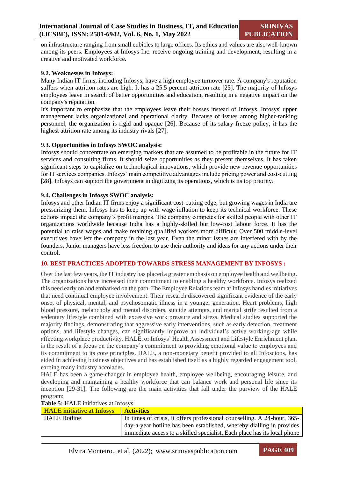on infrastructure ranging from small cubicles to large offices. Its ethics and values are also well-known among its peers. Employees at Infosys Inc. receive ongoing training and development, resulting in a creative and motivated workforce.

#### **9.2. Weaknesses in Infosys:**

Many Indian IT firms, including Infosys, have a high employee turnover rate. A company's reputation suffers when attrition rates are high. It has a 25.5 percent attrition rate [25]. The majority of Infosys employees leave in search of better opportunities and education, resulting in a negative impact on the company's reputation.

It's important to emphasize that the employees leave their bosses instead of Infosys. Infosys' upper management lacks organizational and operational clarity. Because of issues among higher-ranking personnel, the organization is rigid and opaque [26]. Because of its salary freeze policy, it has the highest attrition rate among its industry rivals [27].

#### **9.3. Opportunities in Infosys SWOC analysis:**

Infosys should concentrate on emerging markets that are assumed to be profitable in the future for IT services and consulting firms. It should seize opportunities as they present themselves. It has taken significant steps to capitalize on technological innovations, which provide new revenue opportunities for IT services companies. Infosys' main competitive advantages include pricing power and cost-cutting [28]. Infosys can support the government in digitizing its operations, which is its top priority.

#### **9.4. Challenges in Infosys SWOC analysis:**

Infosys and other Indian IT firms enjoy a significant cost-cutting edge, but growing wages in India are pressurizing them. Infosys has to keep up with wage inflation to keep its technical workforce. These actions impact the company's profit margins. The company competes for skilled people with other IT organizations worldwide because India has a highly-skilled but low-cost labour force. It has the potential to raise wages and make retaining qualified workers more difficult. Over 500 middle-level executives have left the company in the last year. Even the minor issues are interfered with by the founders. Junior managers have less freedom to use their authority and ideas for any actions under their control.

#### **10. BEST PRACTICES ADOPTED TOWARDS STRESS MANAGEMENT BY INFOSYS :**

Over the last few years, the IT industry has placed a greater emphasis on employee health and wellbeing. The organizations have increased their commitment to enabling a healthy workforce. Infosys realized this need early on and embarked on the path. The Employee Relations team at Infosys handles initiatives that need continual employee involvement. Their research discovered significant evidence of the early onset of physical, mental, and psychosomatic illness in a younger generation. Heart problems, high blood pressure, melancholy and mental disorders, suicide attempts, and marital strife resulted from a sedentary lifestyle combined with excessive work pressure and stress. Medical studies supported the majority findings, demonstrating that aggressive early interventions, such as early detection, treatment options, and lifestyle changes, can significantly improve an individual's active working-age while affecting workplace productivity. HALE, or Infosys' Health Assessment and Lifestyle Enrichment plan, is the result of a focus on the company's commitment to providing emotional value to employees and its commitment to its core principles. HALE, a non-monetary benefit provided to all Infoscions, has aided in achieving business objectives and has established itself as a highly regarded engagement tool, earning many industry accolades.

HALE has been a game-changer in employee health, employee wellbeing, encouraging leisure, and developing and maintaining a healthy workforce that can balance work and personal life since its inception [29-31]. The following are the main activities that fall under the purview of the HALE program:

| <b>HALE</b> initiative at Infosys | <b>Activities</b>                                                        |
|-----------------------------------|--------------------------------------------------------------------------|
| <b>HALE Hotline</b>               | In times of crisis, it offers professional counselling. A 24-hour, 365-  |
|                                   | day-a-year hotline has been established, whereby dialling in provides    |
|                                   | immediate access to a skilled specialist. Each place has its local phone |

#### **Table 5:** HALE initiatives at Infosys

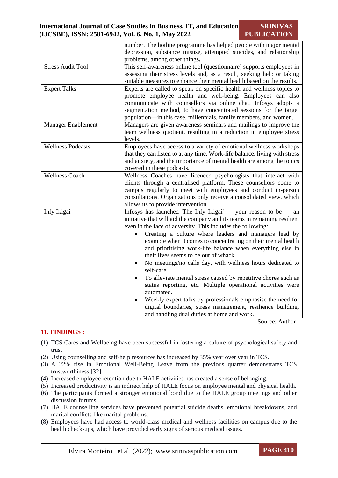**SRINIVAS PUBLICATION**

|                           | number. The hotline programme has helped people with major mental                                                                                                                                                                                                                                                                                                                                                                                                                                                                                                                                                                                                                                                                                                                                                                                                |
|---------------------------|------------------------------------------------------------------------------------------------------------------------------------------------------------------------------------------------------------------------------------------------------------------------------------------------------------------------------------------------------------------------------------------------------------------------------------------------------------------------------------------------------------------------------------------------------------------------------------------------------------------------------------------------------------------------------------------------------------------------------------------------------------------------------------------------------------------------------------------------------------------|
|                           | depression, substance misuse, attempted suicides, and relationship                                                                                                                                                                                                                                                                                                                                                                                                                                                                                                                                                                                                                                                                                                                                                                                               |
|                           | problems, among other things.                                                                                                                                                                                                                                                                                                                                                                                                                                                                                                                                                                                                                                                                                                                                                                                                                                    |
| <b>Stress Audit Tool</b>  | This self-awareness online tool (questionnaire) supports employees in                                                                                                                                                                                                                                                                                                                                                                                                                                                                                                                                                                                                                                                                                                                                                                                            |
|                           | assessing their stress levels and, as a result, seeking help or taking                                                                                                                                                                                                                                                                                                                                                                                                                                                                                                                                                                                                                                                                                                                                                                                           |
|                           | suitable measures to enhance their mental health based on the results.                                                                                                                                                                                                                                                                                                                                                                                                                                                                                                                                                                                                                                                                                                                                                                                           |
| <b>Expert Talks</b>       | Experts are called to speak on specific health and wellness topics to<br>promote employee health and well-being. Employees can also<br>communicate with counsellors via online chat. Infosys adopts a<br>segmentation method, to have concentrated sessions for the target<br>population—in this case, millennials, family members, and women.                                                                                                                                                                                                                                                                                                                                                                                                                                                                                                                   |
| <b>Manager Enablement</b> | Managers are given awareness seminars and mailings to improve the                                                                                                                                                                                                                                                                                                                                                                                                                                                                                                                                                                                                                                                                                                                                                                                                |
|                           | team wellness quotient, resulting in a reduction in employee stress<br>levels.                                                                                                                                                                                                                                                                                                                                                                                                                                                                                                                                                                                                                                                                                                                                                                                   |
| <b>Wellness Podcasts</b>  | Employees have access to a variety of emotional wellness workshops                                                                                                                                                                                                                                                                                                                                                                                                                                                                                                                                                                                                                                                                                                                                                                                               |
|                           | that they can listen to at any time. Work-life balance, living with stress                                                                                                                                                                                                                                                                                                                                                                                                                                                                                                                                                                                                                                                                                                                                                                                       |
|                           | and anxiety, and the importance of mental health are among the topics                                                                                                                                                                                                                                                                                                                                                                                                                                                                                                                                                                                                                                                                                                                                                                                            |
|                           | covered in these podcasts.                                                                                                                                                                                                                                                                                                                                                                                                                                                                                                                                                                                                                                                                                                                                                                                                                                       |
| <b>Wellness Coach</b>     | Wellness Coaches have licenced psychologists that interact with<br>clients through a centralised platform. These counsellors come to<br>campus regularly to meet with employees and conduct in-person<br>consultations. Organizations only receive a consolidated view, which<br>allows us to provide intervention                                                                                                                                                                                                                                                                                                                                                                                                                                                                                                                                               |
| Infy Ikigai               | Infosys has launched 'The Infy Ikigai' — your reason to be — an<br>initiative that will aid the company and its teams in remaining resilient<br>even in the face of adversity. This includes the following:<br>Creating a culture where leaders and managers lead by<br>example when it comes to concentrating on their mental health<br>and prioritising work-life balance when everything else in<br>their lives seems to be out of whack.<br>No meetings/no calls day, with wellness hours dedicated to<br>$\bullet$<br>self-care.<br>To alleviate mental stress caused by repetitive chores such as<br>status reporting, etc. Multiple operational activities were<br>automated.<br>Weekly expert talks by professionals emphasise the need for<br>digital boundaries, stress management, resilience building,<br>and handling dual duties at home and work. |

Source: Author

## **11. FINDINGS :**

- (1) TCS Cares and Wellbeing have been successful in fostering a culture of psychological safety and trust
- (2) Using counselling and self-help resources has increased by 35% year over year in TCS.
- (3) A 22% rise in Emotional Well-Being Leave from the previous quarter demonstrates TCS trustworthiness [32].
- (4) Increased employee retention due to HALE activities has created a sense of belonging.
- (5) Increased productivity is an indirect help of HALE focus on employee mental and physical health.
- (6) The participants formed a stronger emotional bond due to the HALE group meetings and other discussion forums.
- (7) HALE counselling services have prevented potential suicide deaths, emotional breakdowns, and marital conflicts like marital problems.
- (8) Employees have had access to world-class medical and wellness facilities on campus due to the health check-ups, which have provided early signs of serious medical issues.

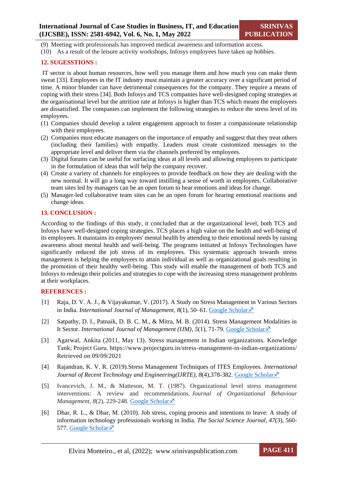(9) Meeting with professionals has improved medical awareness and information access.

(10) As a result of the leisure activity workshops, Infosys employees have taken up hobbies.

#### **12. SUGESSTIONS :**

IT sector is about human resources, how well you manage them and how much you can make them sweat [33]. Employees in the IT industry must maintain a greater accuracy over a significant period of time. A minor blunder can have detrimental consequences for the company. They require a means of coping with their stress [34]. Both Infosys and TCS companies have well-designed coping strategies at the organisational level but the attrition rate at Infosys is higher than TCS which means the employees are dissatisfied. The companies can implement the following strategies to reduce the stress level of its employees.

- (1) Companies should develop a talent engagement approach to foster a compassionate relationship with their employees.
- (2) Companies must educate managers on the importance of empathy and suggest that they treat others (including their families) with empathy. Leaders must create customized messages to the appropriate level and deliver them via the channels preferred by employees.
- (3) Digital forums can be useful for surfacing ideas at all levels and allowing employees to participate in the formulation of ideas that will help the company recover.
- (4) Create a variety of channels for employees to provide feedback on how they are dealing with the new normal. It will go a long way toward instilling a sense of worth in employees. Collaborative team sites led by managers can be an open forum to hear emotions and ideas for change.
- (5) Manager-led collaborative team sites can be an open forum for hearing emotional reactions and change ideas.

#### **13. CONCLUSION :**

According to the findings of this study, it concluded that at the organizational level, both TCS and Infosys have well-designed coping strategies. TCS places a high value on the health and well-being of its employees. It maintains its employees' mental health by attending to their emotional needs by raising awareness about mental health and well-being. The programs initiated at Infosys Technologies have significantly reduced the job stress of its employees. This systematic approach towards stress management is helping the employees to attain individual as well as organizational goals resulting in the promotion of their healthy well-being. This study will enable the management of both TCS and Infosys to redesign their policies and strategies to cope with the increasing stress management problems at their workplaces.

#### **REFERENCES :**

- [1] Raja, D. V. A. J., & Vijayakumar, V. (2017). A Study on Stress Management in Various Sectors in India. *International Journal of Management*,  $8(1)$ , 50–61. [Google Scholar](https://scholar.google.com/scholar?hl=en&as_sdt=0%2C5&q=1.%09Raja%2C+D.+V.+A.+J.%2C+%26+Vijayakumar%2C+V.+%282017%29.+A+Study+on+Stress+Management+in+Various+Sectors+in+India.+International+Journal+of+Management%2C+8%281%29.&btnG=) $\lambda$ <sup>7</sup>
- [2] Satpathy, D. I., Patnaik, D. B. C. M., & Mitra, M. B. (2014). Stress Management Modalities in It Sector. *International Journal of Management (IJM)*, *5*(1), 71-79. [Google Scholar](https://scholar.google.com/scholar?hl=en&as_sdt=0%2C5&q=2.%09Satpathy%2C+D.+I.%2C+Patnaik%2C+D.+B.+C.+M.%2C+%26+Mitra%2C+M.+B.+%282014%29.+Stress+Management+Modalities+In+It+Sector.+International+Journal+of+Management+%28IJM%29%2C+5%281%29%2C+71-79&btnG=)  $\lambda$ <sup>7</sup>
- [3] Agarwal, Ankita (2011, May 13). Stress management in Indian organizations. Knowledge Tank; Project Guru. https://www.projectguru.in/stress-management-in-indian-organizations/ Retrieved on 09/09/2021
- [4] Rajandran, K. V. R. (2019).Stress Management Techniques of ITES Employees. *International Journal of Recent Technology and Engineering(IJRTE),* 8(4),378-382. [Google Scholar](https://scholar.google.com/scholar?hl=en&as_sdt=0%2C5&q=4.%09Stress+Management+Techniques+of+ITES+Employees+Stress+Management+View+project.+International+Journal+of+Recent+Technology+and+Engineering%2C+2277%E2%80%933878.+https%3A%2F%2Fdoi.org%2F10.35940%2Fijrte.B1073.0782S419&btnG=) $\lambda$ <sup>7</sup>
- [5] Ivancevich, J. M., & Matteson, M. T. (1987). Organizational level stress management interventions: A review and recommendations. *Journal of Organizational Behaviour Management*, *8*(2), 229-248. [Google Scholar](https://scholar.google.com/scholar?hl=en&as_sdt=0%2C5&q=%5B5%5D%09Ivancevich%2C+J.+M.%2C+%26+Matteson%2C+M.+T.+%281987%29.+Organizational+level+stress+management+interventions%3A+A+review+and+recommendations.+Journal+of+Organizational+Behaviour+Management%2C+8%282%29%2C+229-248.&btnG=)  $\lambda$
- [6] Dhar, R. L., & Dhar, M. (2010). Job stress, coping process and intentions to leave: A study of information technology professionals working in India. *The Social Science Journal*, *47*(3), 560- 577. [Google Scholar](https://scholar.google.com/scholar?hl=en&as_sdt=0%2C5&q=13.%09Dhar%2C+R.+L.%2C+%26+Dhar%2C+M.+%282010%29.+Job+stress%2C+coping+process+and+intentions+to+leave%3A+A+study+of+information+technology+professionals+working+in+India.+The+Social+Science+Journal%2C+47%283%29%2C+560-577.&btnG=)s

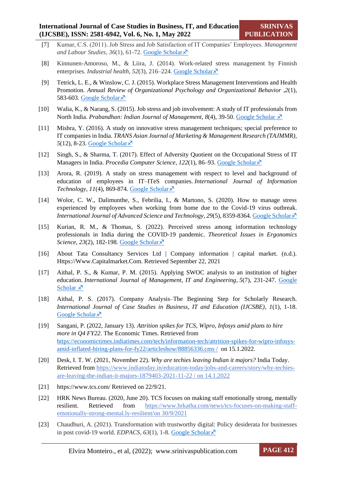- [7] Kumar, C.S. (2011). Job Stress and Job Satisfaction of IT Companies' Employees. *Management and Labour Studies*, *36*(1), 61-72. [Google Scholar](https://scholar.google.com/scholar?hl=en&as_sdt=0%2C5&q=6.%09Kumar%2C+C.+S.+%282011%29.+Job+Stress+and+Job+Satisfaction+of+IT+Companies%E2%80%99+Employees.+Management+and+Labour+Studies%2C+36%281%29%2C+61%E2%80%9372.+https%3A%2F%2Fdoi.org%2F10.1177%2F0258042X1103600104&btnG=)
- [8] Kinnunen-Amoroso, M., & Liira, J. (2014). Work-related stress management by Finnish enterprises. *Industrial health*, 52(3), 216–224. [Google Scholar](https://scholar.google.com/scholar?hl=en&as_sdt=0%2C5&q=%5B8%5D%09Kinnunen-Amoroso%2C+M.%2C+%26+Liira%2C+J.+%282014%29.+Work-related+stress+management+by+Finnish+enterprises.+Industrial+health%2C+52%283%29%2C+216%E2%80%93224.&btnG=)  $\times$
- [9] Tetrick, L. E., & Winslow, C. J. (2015). Workplace Stress Management Interventions and Health Promotion. *Annual Review of Organizational Psychology and Organizational Behavior* ,*2*(1), 583-603. [Google Scholar](https://scholar.google.com/scholar?hl=en&as_sdt=0%2C5&q=%5B9%5D%09Tetrick%2C+L.+E.%2C+%26+Winslow%2C+C.+J.+%282015%29.+Workplace+stress+management+interventions+and+health+promotion.+Annu.+Rev.+Organ.+Psychol.+Organ.+Behav.%2C+2%281%29%2C+583-603.&btnG=) $\bar{x}$
- [10] Walia, K., & Narang, S. (2015). Job stress and job involvement: A study of IT professionals from North India. *Prabandhan: Indian Journal of Management*, *8*(4), 39-50. [Google Scholar](https://scholar.google.com/scholar?hl=en&as_sdt=0%2C5&q=9.%09Walia%2C+K.%2C+%26+Narang%2C+S.+%282015%29.+Job+stress+and+job+involvement%3A+A+study+of+IT+professionals+from+North+India.+Prabandhan%3A+Indian+Journal+of+Management%2C+8%284%29%2C+39-50.&btnG=)  $\overline{X}$
- [11] Mishra, Y. (2016). A study on innovative stress management techniques; special preference to IT companies in India. *TRANS Asian Journal of Marketing & Management Research (TAJMMR),* 5(12), 8-23. [Google Scholar](https://scholar.google.com/scholar?hl=en&as_sdt=0%2C5&q=11.%09Mishra%2C+Y.+%282016%29.+A+study+on+innovative+stress+management+techniques%3B+special+preference+to+IT+companies+in+India.+TRANS+Asian+Journal+of+Marketing+%26+Management+Research+%28TAJMMR%29%2C+5%2812%29%2C+8-23&btnG=) ×
- [12] Singh, S., & Sharma, T. (2017). Effect of Adversity Quotient on the Occupational Stress of IT Managers in India. *Procedia Computer Science*, *122*(1), 86–93. [Google Scholar](https://scholar.google.com/scholar?hl=en&as_sdt=0%2C5&q=10.%09Singh%2C+S.%2C+%26+Sharma%2C+T.+%282017%29.+Affect+of+Adversity+Quotient+on+the+Occupational+Stress+of+IT+Managers+in+India.+Procedia+Computer+Science%2C+122%2C+86%E2%80%9393.+https%3A%2F%2Fdoi.org%2F10.1016%2FJ.PROCS.2017.11.345&btnG=)
- [13] Arora, R. (2019). A study on stress management with respect to level and background of education of employees in IT–ITeS companies. *International Journal of Information Technology*,  $11(4)$ , 869-874. [Google Scholar](https://scholar.google.com/scholar?hl=en&as_sdt=0%2C5&q=14.%09Arora%2C+R.+%282019%29.+A+study+on+stress+management+with+respect+to+level+and+background+of+education+of+employees+in+IT%E2%80%93ITeS+companies.+International+Journal+of+Information+Technology%2C+11%284%29%2C+869-874&btnG=) $\chi$ <sup>7</sup>
- [14] Wolor, C. W., Dalimunthe, S., Febrilia, I., & Martono, S. (2020). How to manage stress experienced by employees when working from home due to the Covid-19 virus outbreak. *International Journal of Advanced Science and Technology*, 29(5), 8359-8364. [Google Scholar](file:///C:/Users/ELVIRA/Dropbox/PC/Downloads/1.%09Wolor,%20C.,%20Dalimunthe,%20S.,%20…%20I.%20F.-I.%20J.%20of,%20&%202020,%20undefined.%20(2020).%20How%20to%20manage%20stress%20experienced%20by%20employees%20when%20working%20from%20home%20due%20to%20the%20Covid-19%20virus%20outbreak.%20Researchgate.Net,%2029(5),%208359–8364)  $\bar{x}$
- [15] Kurian, R. M., & Thomas, S. (2022). Perceived stress among information technology professionals in India during the COVID-19 pandemic. *Theoretical Issues in Ergonomics Science, 23(2), 182-198. [Google Scholar](https://scholar.google.com/scholar?hl=en&as_sdt=0%2C5&q=Perceived+stress+among+information+technology+professionals+in+India+during+the+COVID-19+pandemic&btnG=)*  $\times$
- [16] About Tata Consultancy Services Ltd | Company information | capital market. (n.d.). Https://Www.Capitalmarket.Com. Retrieved September 22, 2021
- [17] Aithal, P. S., & Kumar, P. M. (2015). Applying SWOC analysis to an institution of higher education. *International Journal of Management, IT and Engineering*, *5*(7), 231-247. [Google](https://scholar.google.com/scholar?hl=en&as_sdt=0%2C5&q=17.%09Aithal%2C+P.+S.%2C+%26+Kumar%2C+P.+M.+%282015%29.+Applying+SWOC+analysis+to+an+institution+of+higher+education.+International+Journal+of+Management%2C+IT+and+Engineering%2C+5%287%29%2C+231-247.&btnG=)  [Scholar](https://scholar.google.com/scholar?hl=en&as_sdt=0%2C5&q=17.%09Aithal%2C+P.+S.%2C+%26+Kumar%2C+P.+M.+%282015%29.+Applying+SWOC+analysis+to+an+institution+of+higher+education.+International+Journal+of+Management%2C+IT+and+Engineering%2C+5%287%29%2C+231-247.&btnG=)  $\lambda$
- [18] Aithal, P. S. (2017). Company Analysis–The Beginning Step for Scholarly Research. *International Journal of Case Studies in Business, IT and Education (IJCSBE)*, *1*(1), 1-18. [Google Scholar](https://scholar.google.com/scholar?hl=en&as_sdt=0%2C5&q=18.%09Aithal%2C+P.+S.%282017%29.+Company+Analysis%E2%80%93The+Beginning+Step+for+Scholarly+Research.+International+Journal+of+Case+Studies+in+Business%2C+IT+and+Education+%28IJCSBE%29%2C1%281%29%2C+1-18&btnG=) ×
- [19] Sangani, P. (2022, January 13). *Attrition spikes for TCS, Wipro, Infosys amid plans to hire more in Q4 FY22*. The Economic Times. Retrieved from [https://economictimes.indiatimes.com/tech/information-tech/attrition-spikes-for-wipro-infosys](https://economictimes.indiatimes.com/tech/information-tech/attrition-spikes-for-wipro-infosys-amid-inflated-hiring-plans-for-fy22/articleshow/88856336.cms%20/)[amid-inflated-hiring-plans-for-fy22/articleshow/88856336.cms /](https://economictimes.indiatimes.com/tech/information-tech/attrition-spikes-for-wipro-infosys-amid-inflated-hiring-plans-for-fy22/articleshow/88856336.cms%20/) on 15.1.2022.
- [20] Desk, I. T. W. (2021, November 22). *Why are techies leaving Indian it majors?* India Today. Retrieved from [https://www.indiatoday.in/education-today/jobs-and-careers/story/why-techies](https://www.indiatoday.in/education-today/jobs-and-careers/story/why-techies-are-leaving-the-indian-it-majors-1879403-2021-11-22%20/)[are-leaving-the-indian-it-majors-1879403-2021-11-22 /](https://www.indiatoday.in/education-today/jobs-and-careers/story/why-techies-are-leaving-the-indian-it-majors-1879403-2021-11-22%20/) on 14.1.2022
- [21] https://www.tcs.com/ Retrieved on 22/9/21.
- [22] HRK News Bureau. (2020, June 20). TCS focuses on making staff emotionally strong, mentally resilient. Retrieved from [https://www.hrkatha.com/news/tcs-focuses-on-making-staff](https://www.hrkatha.com/news/tcs-focuses-on-making-staff-emotionally-strong-mental.ly-resilient/)[emotionally-strong-mental.ly-resilient/o](https://www.hrkatha.com/news/tcs-focuses-on-making-staff-emotionally-strong-mental.ly-resilient/)n 30/9/2021
- [23] Chaudhuri, A. (2021). Transformation with trustworthy digital: Policy desiderata for businesses in post covid-19 world. *EDPACS*,  $63(1)$ , 1-8. [Google Scholar](https://scholar.google.com/scholar?hl=en&as_sdt=0%2C5&q=22.%09Chaudhuri%2C+A.+%282021%29.+TRANSFORMATION+WITH+TRUSTWORTHY+DIGITAL%3A+POLICY+DESIDERATA+FOR+BUSINESSES+IN+POST+COVID-19+WORLD.+EDPACS%2C+63%281%29%2C+1-8.&btnG=) $\overline{\chi}$